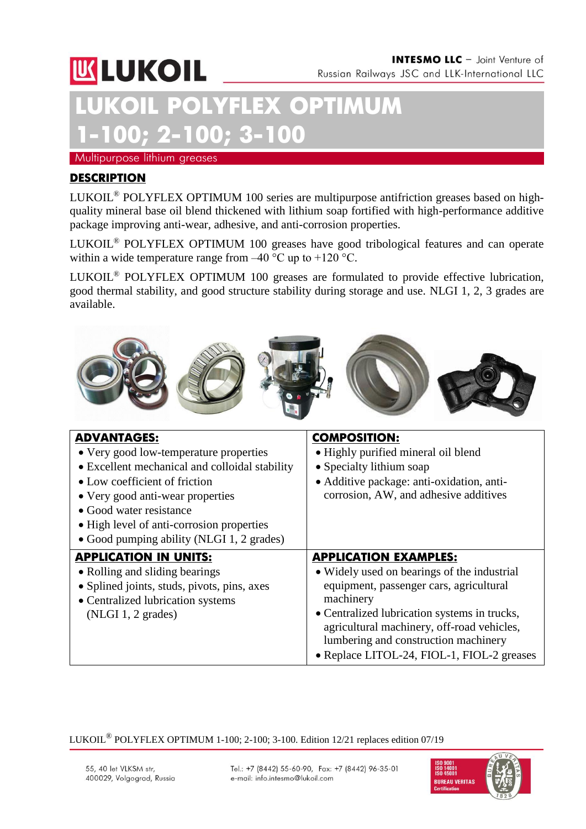

# **LEX OPTIMUM 1-100; 2-100; 3-100**

Multipurpose lithium greases

### **DESCRIPTION**

LUKOIL® POLYFLEX OPTIMUM 100 series are multipurpose antifriction greases based on highquality mineral base oil blend thickened with lithium soap fortified with high-performance additive package improving anti-wear, adhesive, and anti-corrosion properties.

LUKOIL® POLYFLEX OPTIMUM 100 greases have good tribological features and can operate within a wide temperature range from  $-40^{\circ}$ C up to  $+120^{\circ}$ C.

LUKOIL® POLYFLEX OPTIMUM 100 greases are formulated to provide effective lubrication, good thermal stability, and good structure stability during storage and use. NLGI 1, 2, 3 grades are available.



| <b>ADVANTAGES:</b>                             | <b>COMPOSITION:</b>                          |
|------------------------------------------------|----------------------------------------------|
| • Very good low-temperature properties         | • Highly purified mineral oil blend          |
| • Excellent mechanical and colloidal stability | • Specialty lithium soap                     |
| • Low coefficient of friction                  | • Additive package: anti-oxidation, anti-    |
| • Very good anti-wear properties               | corrosion, AW, and adhesive additives        |
| • Good water resistance                        |                                              |
| • High level of anti-corrosion properties      |                                              |
| • Good pumping ability (NLGI 1, 2 grades)      |                                              |
| <b>APPLICATION IN UNITS:</b>                   | <b>APPLICATION EXAMPLES:</b>                 |
| • Rolling and sliding bearings                 | • Widely used on bearings of the industrial  |
| • Splined joints, studs, pivots, pins, axes    | equipment, passenger cars, agricultural      |
| • Centralized lubrication systems              | machinery                                    |
| $(NLGI 1, 2 \text{ grades})$                   | • Centralized lubrication systems in trucks, |
|                                                | agricultural machinery, off-road vehicles,   |
|                                                | lumbering and construction machinery         |
|                                                | • Replace LITOL-24, FIOL-1, FIOL-2 greases   |

LUKOIL® POLYFLEX OPTIMUM 1-100; 2-100; 3-100. Edition 12/21 replaces edition 07/19

Tel.: +7 (8442) 55-60-90, Fax: +7 (8442) 96-35-01 e-mail: info.intesmo@lukoil.com